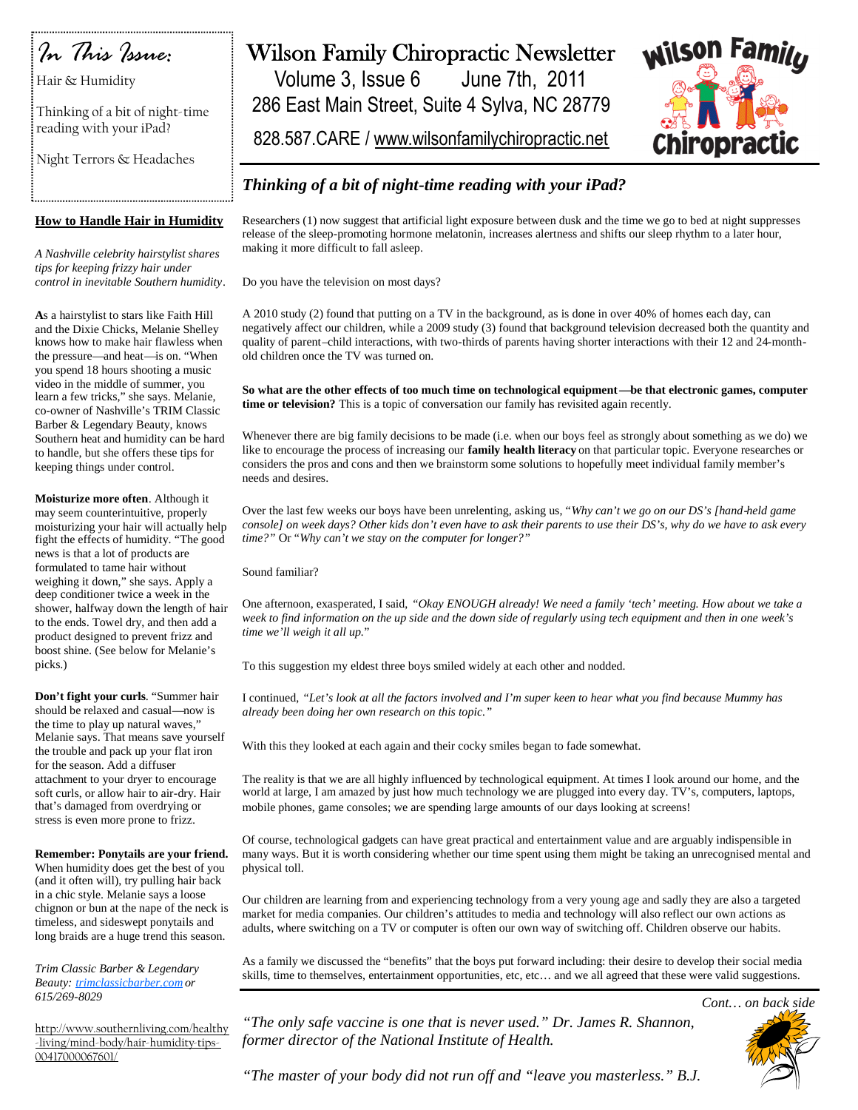

Hair & Humidity

Thinking of a bit of night-time reading with your iPad?

Night Terrors & Headaches

### **How to Handle Hair in Humidity**

*A Nashville celebrity hairstylist shares tips for keeping frizzy hair under control in inevitable Southern humidity*.

**A**s a hairstylist to stars like Faith Hill and the Dixie Chicks, Melanie Shelley knows how to make hair flawless when the pressure—and heat—is on. "When you spend 18 hours shooting a music video in the middle of summer, you learn a few tricks," she says. Melanie, co-owner of Nashville's TRIM Classic Barber & Legendary Beauty, knows Southern heat and humidity can be hard to handle, but she offers these tips for keeping things under control.

**Moisturize more often**. Although it may seem counterintuitive, properly moisturizing your hair will actually help fight the effects of humidity. "The good news is that a lot of products are formulated to tame hair without weighing it down," she says. Apply a deep conditioner twice a week in the shower, halfway down the length of hair to the ends. Towel dry, and then add a product designed to prevent frizz and boost shine. (See below for Melanie's picks.)

**Don't fight your curls**. "Summer hair should be relaxed and casual—now is the time to play up natural waves," Melanie says. That means save yourself the trouble and pack up your flat iron for the season. Add a diffuser attachment to your dryer to encourage soft curls, or allow hair to air-dry. Hair that's damaged from overdrying or stress is even more prone to frizz.

**Remember: Ponytails are your friend.** When humidity does get the best of you (and it often will), try pulling hair back in a chic style. Melanie says a loose chignon or bun at the nape of the neck is timeless, and sideswept ponytails and long braids are a huge trend this season.

*Trim Classic Barber & Legendary Beauty: trimclassicbarber.com or 615/269-8029*

http://www.southernliving.com/healthy -living/mind-body/hair-humidity-tips-00417000067601/

# Wilson Family Chiropractic Newsletter

Volume 3, Issue 6 June 7th, 2011 286 East Main Street, Suite 4 Sylva, NC 28779

828.587.CARE / www.wilsonfamilychiropractic.net



## *Thinking of a bit of night-time reading with your iPad?*

Researchers (1) now suggest that artificial light exposure between dusk and the time we go to bed at night suppresses release of the sleep-promoting hormone melatonin, increases alertness and shifts our sleep rhythm to a later hour, making it more difficult to fall asleep.

Do you have the television on most days?

A 2010 study (2) found that putting on a TV in the background, as is done in over 40% of homes each day, can negatively affect our children, while a 2009 study (3) found that background television decreased both the quantity and quality of parent–child interactions, with two-thirds of parents having shorter interactions with their 12 and 24-monthold children once the TV was turned on.

**So what are the other effects of too much time on technological equipment—be that electronic games, computer time or television?** This is a topic of conversation our family has revisited again recently.

Whenever there are big family decisions to be made (i.e. when our boys feel as strongly about something as we do) we like to encourage the process of increasing our **family health literacy** on that particular topic. Everyone researches or considers the pros and cons and then we brainstorm some solutions to hopefully meet individual family member's needs and desires.

Over the last few weeks our boys have been unrelenting, asking us, "*Why can't we go on our DS's [hand-held game console] on week days? Other kids don't even have to ask their parents to use their DS's, why do we have to ask every time?"* Or "*Why can't we stay on the computer for longer?"*

Sound familiar?

One afternoon, exasperated, I said, *"Okay ENOUGH already! We need a family 'tech' meeting. How about we take a week to find information on the up side and the down side of regularly using tech equipment and then in one week's time we'll weigh it all up.*"

To this suggestion my eldest three boys smiled widely at each other and nodded.

I continued, *"Let's look at all the factors involved and I'm super keen to hear what you find because Mummy has already been doing her own research on this topic."*

With this they looked at each again and their cocky smiles began to fade somewhat.

The reality is that we are all highly influenced by technological equipment. At times I look around our home, and the world at large, I am amazed by just how much technology we are plugged into every day. TV's, computers, laptops, mobile phones, game consoles; we are spending large amounts of our days looking at screens!

Of course, technological gadgets can have great practical and entertainment value and are arguably indispensible in many ways. But it is worth considering whether our time spent using them might be taking an unrecognised mental and physical toll.

Our children are learning from and experiencing technology from a very young age and sadly they are also a targeted market for media companies. Our children's attitudes to media and technology will also reflect our own actions as adults, where switching on a TV or computer is often our own way of switching off. Children observe our habits.

As a family we discussed the "benefits" that the boys put forward including: their desire to develop their social media skills, time to themselves, entertainment opportunities, etc, etc… and we all agreed that these were valid suggestions.

*"The only safe vaccine is one that is never used." Dr. James R. Shannon, former director of the National Institute of Health.*



*"The master of your body did not run off and "leave you masterless." B.J.*